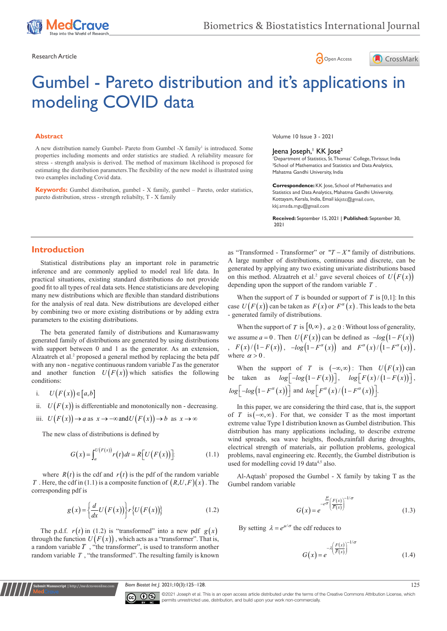





# Gumbel - Pareto distribution and it's applications in modeling COVID data

### **Abstract**

A new distribution namely Gumbel- Pareto from Gumbel -X family<sup>1</sup> is introduced. Some properties including moments and order statistics are studied. A reliability measure for stress - strength analysis is derived. The method of maximum likelihood is proposed for estimating the distribution parameters.The flexibility of the new model is illustrated using two examples including Covid data.

**Keywords:** Gumbel distribution, gumbel - X family, gumbel – Pareto, order statistics, pareto distribution, stress - strength reliabilty, T - X family

Volume 10 Issue 3 - 2021

## Jeena Joseph,' KK Jose<sup>2</sup>

1 Department of Statistics, St. Thomas' College, Thrissur, India 2 School of Mathematics and Statistics and Data Analytics, Mahatma Gandhi University, India

**Correspondence:** KK Jose, School of Mathematics and Statistics and Data Analytics, Mahatma Gandhi University, Kottayam, Kerala, India, Email kkjstc@gmail.com, kkj.smsda.mgu@gmail.com

**Received:** September 15, 2021 | **Published:** September 30, 2021

## **Introduction**

Statistical distributions play an important role in parametric inference and are commonly applied to model real life data. In practical situations, existing standard distributions do not provide good fit to all types of real data sets. Hence statisticians are developing many new distributions which are flexible than standard distributions for the analysis of real data. New distributions are developed either by combining two or more existing distributions or by adding extra parameters to the existing distributions.

The beta generated family of distributions and Kumaraswamy generated family of distributions are generated by using distributions with support between 0 and 1 as the generator. As an extension, Alzaatreh et al.<sup>2</sup> proposed a general method by replacing the beta pdf with any non - negative continuous random variable *T* as the generator and another function  $U(F(x))$  which satisfies the following conditions:

i. 
$$
U(F(x)) \in [a,b]
$$

**Submit Manuscript** | http://medcraveonline.com

ii.  $U(F(x))$  is differentiable and monotonically non - decreasing.

iii. 
$$
U(F(x)) \to a
$$
 as  $x \to -\infty$  and  $U(F(x)) \to b$  as  $x \to \infty$ 

The new class of distributions is defined by

$$
G(x) = \int_{a}^{U(F(x))} r(t) dt = R[U(F(x))].
$$
 (1.1)

where  $R(t)$  is the cdf and  $r(t)$  is the pdf of the random variable *T* . Here, the cdf in (1.1) is a composite function of  $(R, U, F)(x)$ . The corresponding pdf is

$$
g(x) = \left\{ \frac{d}{dx} U(F(x)) \right\} r \left\{ U(F(x)) \right\} \tag{1.2}
$$

The p.d.f.  $r(t)$  in (1.2) is "transformed" into a new pdf  $g(x)$ through the function  $U(F(x))$ , which acts as a "transformer". That is, a random variable *T* , "the transformer", is used to transform another random variable *T* , "the transformed". The resulting family is known

as "Transformed - Transformer" or  $T - X$ " family of distributions. A large number of distributions, continuous and discrete, can be generated by applying any two existing univariate distributions based on this method. Alzaatreh et al.<sup>2</sup> gave several choices of  $U(F(x))$ depending upon the support of the random variable *T* .

When the support of  $T$  is bounded or support of  $T$  is [0,1]: In this case  $U(F(x))$  can be taken as  $F(x)$  or  $F^{\alpha}(x)$ . This leads to the beta - generated family of distributions.

When the support of *T* is  $[0, \infty)$ ,  $a \ge 0$ : Without loss of generality, we assume  $a = 0$ . Then  $U(F(x))$  can be defined as  $-log(1 - F(x))$  $F(x)/\big(1-F(x)\big)$ ,  $-\log\big(1-F^{\alpha}(x)\big)$  and  $F^{\alpha}(x)/\big(1-F^{\alpha}(x)\big)$ , where  $\alpha > 0$ .

When the support of *T* is  $(-\infty,\infty)$ : Then  $U(F(x))$  can be taken as  $log[-log(1-F(x))]$ ,  $log[F(x)/(1-F(x))]$ ,  $log[-log(1 - F^{\alpha}(x))]$  and  $log[F^{\alpha}(x) / (1 - F^{\alpha}(x))]$ .

In this paper, we are considering the third case, that is, the support of *T* is  $(-\infty, \infty)$ . For that, we consider T as the most important extreme value Type I distribution known as Gumbel distribution. This distribution has many applications including, to describe extreme wind spreads, sea wave heights, floods,rainfall during droughts, electrical strength of materials, air pollution problems, geological problems, naval engineering etc. Recently, the Gumbel distribution is used for modelling covid 19 data<sup>4,5</sup> also.

Al-Aqtash<sup>1</sup> proposed the Gumbel - X family by taking T as the Gumbel random variable

$$
G(x) = e^{-\frac{\mu}{e^{\sigma}} \left(\frac{F(x)}{\overline{F}(x)}\right)^{-1/\sigma}}
$$
(1.3)

By setting  $\lambda = e^{\mu/\sigma}$  the cdf reduces to

$$
G(x) = e^{-\lambda \left(\frac{F(x)}{\overline{F}(x)}\right)^{-1/\sigma}}
$$
\n(1.4)

*Biom Biostat Int J.* 2021;10(3):125–128. 125



©2021 Joseph et al. This is an open access article distributed under the terms of the [Creative Commons Attribution License,](https://creativecommons.org/licenses/by-nc/4.0/) which permits unrestricted use, distribution, and build upon your work non-commercially.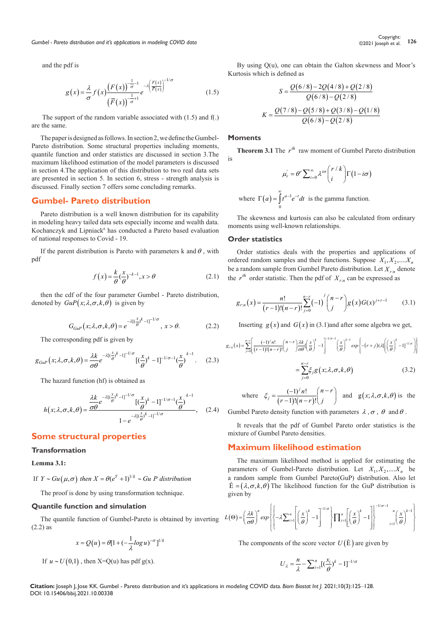and the pdf is

$$
g(x) = \frac{\lambda}{\sigma} f(x) \frac{\left(F(x)\right)^{-\frac{1}{\sigma}-1}}{\left(\overline{F}(x)\right)^{-\frac{1}{\sigma}+1}} e^{-\lambda \left(\frac{F(x)}{\overline{F}(x)}\right)^{-1/\sigma}}
$$
(1.5)

 The support of the random variable associated with (1.5) and f(.) are the same.

The paper is designed as follows. In section 2, we define the Gumbel-Pareto distribution. Some structural properties including moments, quantile function and order statistics are discussed in section 3.The maximum likelihood estimation of the model parameters is discussed in section 4.The application of this distribution to two real data sets are presented in section 5. In section 6, stress - strength analysis is discussed. Finally section 7 offers some concluding remarks.

## **Gumbel- Pareto distribution**

Pareto distribution is a well known distribution for its capability in modeling heavy tailed data sets especially income and wealth data. Kochanczyk and Lipniack<sup>6</sup> has conducted a Pareto based evaluation of national responses to Covid - 19.

If the parent distribution is Pareto with parameters k and  $\theta$ , with pdf

$$
f(x) = \frac{k}{\theta} \left(\frac{x}{\theta}\right)^{-k-1}, x > \theta \tag{2.1}
$$

then the cdf of the four parameter Gumbel - Pareto distribution, denoted by  $GuP(x; \lambda, \sigma, k, \theta)$  is given by

$$
G_{GuP}(x; \lambda, \sigma, k, \theta) = e^{-\lambda [(\frac{x}{\theta})^k - 1]^{-1/\sigma}}, \quad x > \theta.
$$
 (2.2)

The corresponding pdf is given by

$$
g_{GuP}(x;\lambda,\sigma,k,\theta) = \frac{\lambda k}{\sigma\theta}e^{-\lambda[(\frac{x}{\theta})^k-1]^{-1/\sigma}}[(\frac{x}{\theta})^k-1]^{-1/\sigma-1}(\frac{x}{\theta})^{k-1}.
$$
 (2.3)

The hazard function (hf) is obtained as

$$
h(x; \lambda, \sigma, k, \theta) = \frac{\frac{\lambda k}{\sigma \theta} e^{-\lambda [(\frac{x}{\theta})^k - 1]^{-1/\sigma}} [(\frac{x}{\theta})^k - 1]^{-1/\sigma - 1} (\frac{x}{\theta})^{k-1}}{1 - e^{-\lambda [(\frac{x}{\theta})^k - 1]^{-1/\sigma}}}, \quad (2.4)
$$

## **Some structural properties**

## **Transformation**

## **Lemma 3.1:**

If  $Y \sim Gu (\mu, \sigma)$  then  $X = \theta (e^Y + 1)^{1/k} \sim Gu P$  distribution

The proof is done by using transformation technique.

#### **Quantile function and simulation**

The quantile function of Gumbel-Pareto is obtained by inverting (2.2) as

$$
x = Q(u) = \theta[1 + \left(-\frac{1}{\lambda}\log u\right)^{-\sigma}]^{1/k}
$$

If  $u \sim U(0,1)$ , then X=Q(u) has pdf g(x).

By using O(u), one can obtain the Galton skewness and Moor's Kurtosis which is defined as

$$
S = \frac{Q(6/8) - 2Q(4/8) + Q(2/8)}{Q(6/8) - Q(2/8)}
$$

$$
K = \frac{Q(7/8) - Q(5/8) + Q(3/8) - Q(1/8)}{Q(6/8) - Q(2/8)}
$$

#### **Moments**

is

**Theorem 3.1** The  $r^{th}$  raw moment of Gumbel Pareto distribution

$$
\mu_r = \theta^r \sum_{i=0}^{\infty} \lambda^{i\sigma} {r/k \choose i} \Gamma(1 - i\sigma)
$$

where  $\Gamma(a) = \int_0^{\infty} t^{a-1} e^{-t} dt$  is the gamma function.  $\mathbf 0$ 

The skewness and kurtosis can also be calculated from ordinary moments using well-known relationships.

#### **Order statistics**

Order statistics deals with the properties and applications of ordered random samples and their functions. Suppose  $X_1, X_2, \ldots, X_n$ be a random sample from Gumbel Pareto distribution. Let  $X_{r:n}$  denote the  $r^{th}$  order statistic. Then the pdf of  $X_{r,n}$  can be expressed as

$$
g_{r:n}(x) = \frac{n!}{(r-1)!(n-r)!} \sum_{j=0}^{n-r} (-1)^j {n-r \choose j} g(x) G(x)^{j+r-1}
$$
(3.1)

Inserting  $g(x)$  and  $G(x)$  in (3.1)and after some algebra we get,

$$
g_{rn}(x) = \sum_{j=0}^{n-r} \left[ \frac{(-1)^j n!}{(r-1)!(n-r)!} {n-r \choose j} \frac{\lambda k}{\sigma \theta} \left( \frac{x}{\theta} \right)^k - 1 \right]^{-1/\sigma - 1} \left( \frac{x}{\theta} \right)^{k-1} \exp \left\{ -(r+j)(\lambda) \left( \left( \frac{x}{\theta} \right)^k - 1 \right)^{-1/\sigma} \right\}
$$

$$
= \sum_{j=0}^{n-r} \xi_j g(x; \lambda, \sigma, k, \theta) \tag{3.2}
$$

where 
$$
\xi_j = \frac{(-1)^j n!}{(r-1)!(n-r)!} {n-r \choose j}
$$
 and  $g(x; \lambda, \sigma, k, \theta)$  is the

Gumbel Pareto density function with parameters  $\lambda$ ,  $\sigma$ ,  $\theta$  and  $\theta$ .

It reveals that the pdf of Gumbel Pareto order statistics is the mixture of Gumbel Pareto densities.

## **Maximum likelihood estimation**

The maximum likelihood method is applied for estimating the parameters of Gumbel-Pareto distribution. Let  $X_1, X_2, \ldots, X_n$  be a random sample from Gumbel Pareto(GuP) distribution. Also let  $\hat{\mathbf{E}} = (\lambda, \sigma, k, \theta)$  The likelihood function for the GuP distribution is given by

$$
L(\Theta) = \left(\frac{\lambda k}{\sigma \theta}\right)^n \exp\left\{\left[-\lambda \sum_{i=1}^n \left[\left(\frac{x}{\theta}\right)^k - 1\right]^{-1/\sigma}\right\} \prod_{i=1}^n \left[\left(\frac{x}{\theta}\right)^k - 1\right]\right\}^{-1/\sigma - 1} \bigg\}_{i=1}^n \left(\frac{x}{\theta}\right)^{k-1}\right\}
$$

The components of the score vector  $U(\dot{E})$  are given by

$$
U_{\lambda} = \frac{n}{\lambda} - \sum_{i=1}^{n} \left[ \left( \frac{x_i}{\theta} \right)^{k} - 1 \right]^{-1/\sigma}
$$

**Citation:** Joseph J, Jose KK. Gumbel - Pareto distribution and it's applications in modeling COVID data. *Biom Biostat Int J.* 2021;10(3):125‒128. DOI: [10.15406/bbij.2021.10.00338](https://doi.org/10.15406/bbij.2021.10.00338)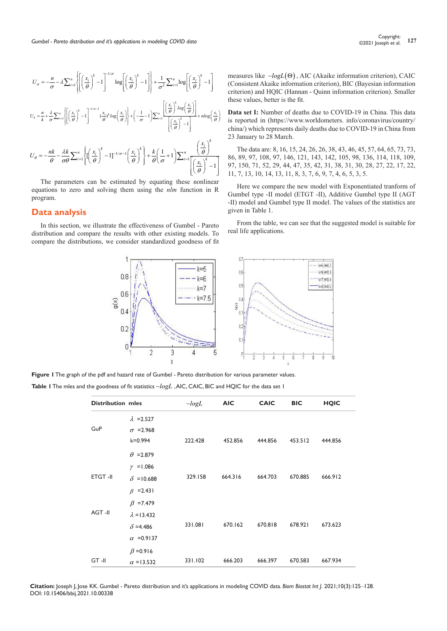$$
U_{\sigma} = -\frac{n}{\sigma} - \lambda \sum_{i=1}^{n} \left\{ \left[ \left( \frac{x_{i}}{\theta} \right)^{k} - 1 \right]^{-1/\sigma} \log \left[ \left( \frac{x_{i}}{\theta} \right)^{k} - 1 \right] \right\} + \frac{1}{\sigma^{2}} \sum_{i=1}^{n} \log \left[ \left( \frac{x_{i}}{\theta} \right)^{k} - 1 \right]
$$
  

$$
U_{k} = \frac{n}{k} + \frac{\lambda}{\sigma} \sum_{i=1}^{n} \left\{ \left[ \left( \frac{x_{i}}{\theta} \right)^{k} - 1 \right]^{-1/\sigma - 1} \left( \frac{x_{i}}{\theta} \right)^{k} \log \left( \frac{x_{i}}{\theta} \right) \right\} + \left( -\frac{1}{\sigma} - 1 \right) \sum_{i=1}^{n} \frac{\left[ \left( \frac{x_{i}}{\theta} \right)^{k} \log \left( \frac{x_{i}}{\theta} \right) \right]}{\left[ \left( \frac{x_{i}}{\theta} \right)^{k} - 1 \right]} + n \log \left( \frac{x_{i}}{\theta} \right)
$$
  

$$
U_{\theta} = -\frac{n k}{\theta} - \frac{\lambda k}{\sigma \theta} \sum_{i=1}^{n} \left\{ \left( \left( \frac{x_{i}}{\theta} \right)^{k} - 1 \right]^{-1/\sigma - 1} \left( \frac{x_{i}}{\theta} \right)^{k} \right\} + \frac{k}{\theta} \left( \frac{1}{\sigma} + 1 \right) \sum_{i=1}^{n} \frac{\left( \frac{x_{i}}{\theta} \right)^{k}}{\left[ \left( \frac{x_{i}}{\theta} \right)^{k} - 1 \right]}
$$

The parameters can be estimated by equating these nonlinear equations to zero and solving them using the *nlm* function in R program.

## **Data analysis**

In this section, we illustrate the effectiveness of Gumbel - Pareto distribution and compare the results with other existing models. To compare the distributions, we consider standardized goodness of fit measures like −*logL*(Θ) , AIC (Akaike information criterion), CAIC (Consistent Akaike information criterion), BIC (Bayesian information criterion) and HQIC (Hannan - Quinn information criterion). Smaller these values, better is the fit.

**Data set I:** Number of deaths due to COVID-19 in China. This data is reported in (https://www.worldometers. info/coronavirus/country/ china/) which represents daily deaths due to COVID-19 in China from 23 January to 28 March.

The data are: 8, 16, 15, 24, 26, 26, 38, 43, 46, 45, 57, 64, 65, 73, 73, 86, 89, 97, 108, 97, 146, 121, 143, 142, 105, 98, 136, 114, 118, 109, 97, 150, 71, 52, 29, 44, 47, 35, 42, 31, 38, 31, 30, 28, 27, 22, 17, 22, 11, 7, 13, 10, 14, 13, 11, 8, 3, 7, 6, 9, 7, 4, 6, 5, 3, 5.

Here we compare the new model with Exponentiated tranform of Gumbel type -II model (ETGT -II), Additive Gumbel type II (AGT -II) model and Gumbel type II model. The values of the statistics are given in Table 1.

From the table, we can see that the suggested model is suitable for real life applications.



**Figure 1** The graph of the pdf and hazard rate of Gumbel - Pareto distribution for various parameter values. **Table 1** The mles and the goodness of fit statistics −*logL* , AIC, CAIC, BIC and HQIC for the data set 1

| <b>Distribution mles</b> |                    | $-logL$ | <b>AIC</b> | <b>CAIC</b> | <b>BIC</b> | <b>HQIC</b> |  |
|--------------------------|--------------------|---------|------------|-------------|------------|-------------|--|
|                          | $\lambda$ =2.527   |         |            |             |            |             |  |
| GuP                      | $\sigma$ =2.968    |         |            |             |            |             |  |
|                          | $k = 0.994$        | 222.428 | 452.856    | 444.856     | 453.512    | 444.856     |  |
|                          | $\theta$ = 2.879   |         |            |             |            |             |  |
|                          | $\gamma$ = 1.086   |         |            |             |            |             |  |
| <b>ETGT-II</b>           | $\delta$ = 10.688  | 329.158 | 664.316    | 664.703     | 670.885    | 666.912     |  |
|                          | $\beta$ =2.431     |         |            |             |            |             |  |
|                          | $\beta$ =7.479     |         |            |             |            |             |  |
| AGT-II                   | $\lambda = 13.432$ |         |            |             |            |             |  |
|                          | $\delta$ =4.486    | 331.081 | 670.162    | 670.818     | 678.921    | 673.623     |  |
|                          | $\alpha$ = 0.9137  |         |            |             |            |             |  |
|                          | $\beta$ =0.916     |         |            |             |            |             |  |
| $GT - II$                | $\alpha$ = 13.532  | 331.102 | 666.203    | 666.397     | 670.583    | 667.934     |  |

**Citation:** Joseph J, Jose KK. Gumbel - Pareto distribution and it's applications in modeling COVID data. *Biom Biostat Int J.* 2021;10(3):125‒128. DOI: [10.15406/bbij.2021.10.00338](https://doi.org/10.15406/bbij.2021.10.00338)